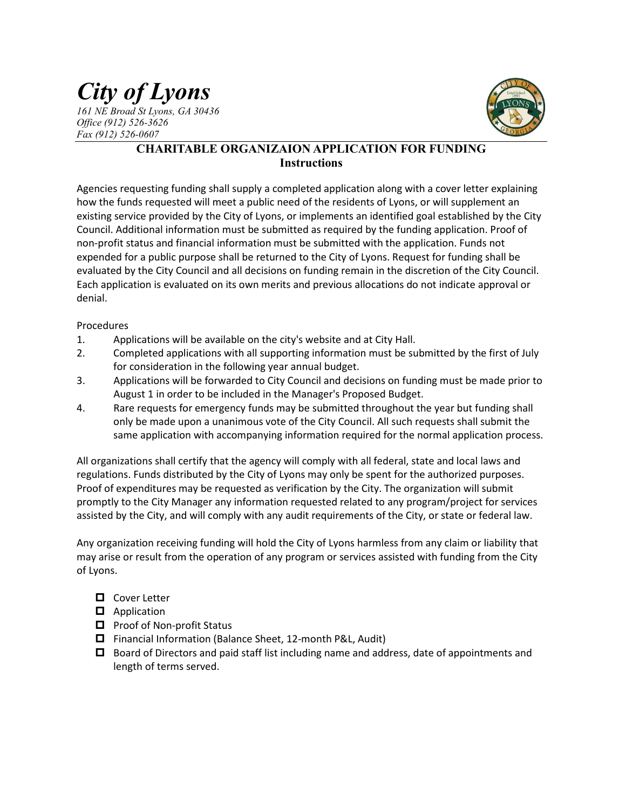# *City of Lyons 161 NE Broad St Lyons, GA 30436 Office (912) 526-3626*

*Fax (912) 526-0607*



# **CHARITABLE ORGANIZAION APPLICATION FOR FUNDING Instructions**

Agencies requesting funding shall supply a completed application along with a cover letter explaining how the funds requested will meet a public need of the residents of Lyons, or will supplement an existing service provided by the City of Lyons, or implements an identified goal established by the City Council. Additional information must be submitted as required by the funding application. Proof of non-profit status and financial information must be submitted with the application. Funds not expended for a public purpose shall be returned to the City of Lyons. Request for funding shall be evaluated by the City Council and all decisions on funding remain in the discretion of the City Council. Each application is evaluated on its own merits and previous allocations do not indicate approval or denial.

#### Procedures

- 1. Applications will be available on the city's website and at City Hall.
- 2. Completed applications with all supporting information must be submitted by the first of July for consideration in the following year annual budget.
- 3. Applications will be forwarded to City Council and decisions on funding must be made prior to August 1 in order to be included in the Manager's Proposed Budget.
- 4. Rare requests for emergency funds may be submitted throughout the year but funding shall only be made upon a unanimous vote of the City Council. All such requests shall submit the same application with accompanying information required for the normal application process.

All organizations shall certify that the agency will comply with all federal, state and local laws and regulations. Funds distributed by the City of Lyons may only be spent for the authorized purposes. Proof of expenditures may be requested as verification by the City. The organization will submit promptly to the City Manager any information requested related to any program/project for services assisted by the City, and will comply with any audit requirements of the City, or state or federal law.

Any organization receiving funding will hold the City of Lyons harmless from any claim or liability that may arise or result from the operation of any program or services assisted with funding from the City of Lyons.

- **D** Cover Letter
- **D** Application
- $\Box$  Proof of Non-profit Status
- Financial Information (Balance Sheet, 12-month P&L, Audit)
- $\Box$  Board of Directors and paid staff list including name and address, date of appointments and length of terms served.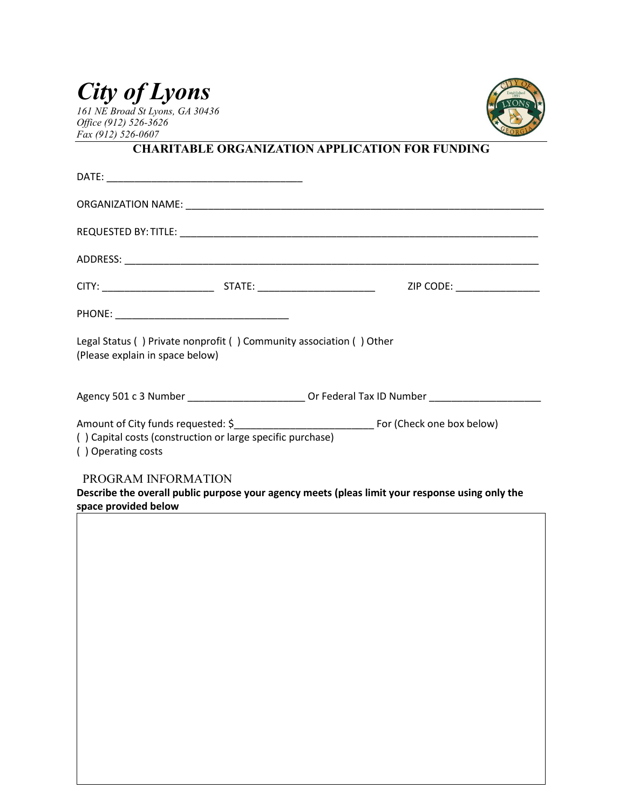# *City of Lyons*

*161 NE Broad St Lyons, GA 30436 Office (912) 526-3626 Fax (912) 526-0607*



# **CHARITABLE ORGANIZATION APPLICATION FOR FUNDING**

| Legal Status () Private nonprofit () Community association () Other<br>(Please explain in space below) |  |                                                                                                     |  |  |  |  |  |
|--------------------------------------------------------------------------------------------------------|--|-----------------------------------------------------------------------------------------------------|--|--|--|--|--|
|                                                                                                        |  | Agency 501 c 3 Number ______________________________ Or Federal Tax ID Number _____________________ |  |  |  |  |  |
| () Capital costs (construction or large specific purchase)<br>() Operating costs                       |  |                                                                                                     |  |  |  |  |  |
| PROGRAM INFORMATION                                                                                    |  |                                                                                                     |  |  |  |  |  |
| space provided below                                                                                   |  | Describe the overall public purpose your agency meets (pleas limit your response using only the     |  |  |  |  |  |

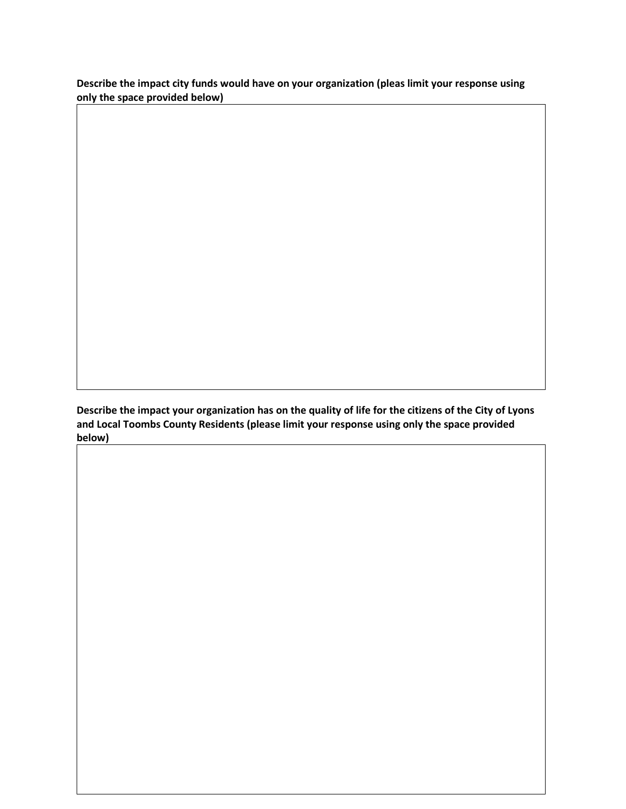**Describe the impact city funds would have on your organization (pleas limit your response using only the space provided below)**

**Describe the impact your organization has on the quality of life for the citizens of the City of Lyons and Local Toombs County Residents (please limit your response using only the space provided below)**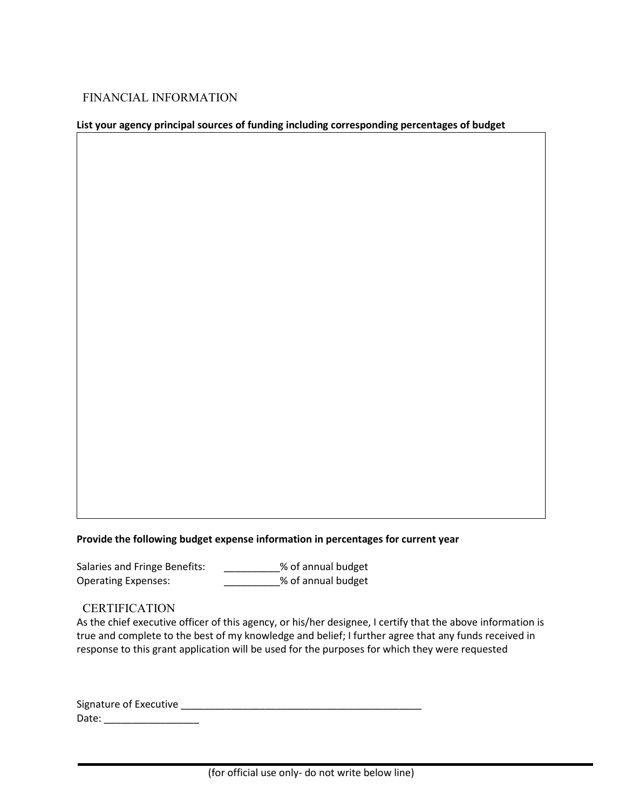### FINANCIAL INFORMATION

#### **List your agency principal sources of funding including corresponding percentages of budget**

#### **Provide the following budget expense information in percentages for current year**

Salaries and Fringe Benefits: \_\_\_\_\_\_\_\_\_\_% of annual budget Operating Expenses: \_\_\_\_\_\_\_\_\_\_% of annual budget

#### **CERTIFICATION**

As the chief executive officer of this agency, or his/her designee, I certify that the above information is true and complete to the best of my knowledge and belief; I further agree that any funds received in response to this grant application will be used for the purposes for which they were requested

| Signature of Executive |  |
|------------------------|--|
| Date:                  |  |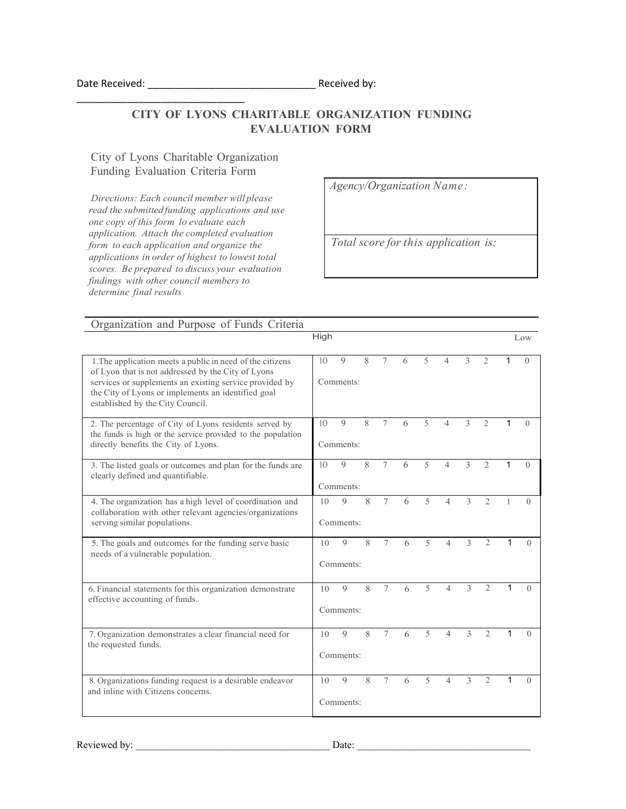## **CITY OF LYONS CHARITABLE ORGANIZATION FUNDING EVALUATION FORM**

City of Lyons Charitable Organization Funding Evaluation Criteria Form

\_\_\_\_\_\_\_\_\_\_\_\_\_\_\_\_\_\_\_\_\_\_\_\_\_\_\_\_\_\_

*Directions: Each council member will please read the submitted funding applications and use one copy of this form lo evaluate each application. Attach the completed evaluation form to each application and organize the applications in order of highest to lowest total scores. Be prepared to discuss your evaluation findings with other council members to determine final results*

*Agency/Organization Name:*

*Total score for this application is:*

| Organization and Purpose of Funds Criteria                                                                                                                                                                                                                           |                                                                                                                                     |                                                   |                             |        |   |                          |                          |                          |                               |          |          |
|----------------------------------------------------------------------------------------------------------------------------------------------------------------------------------------------------------------------------------------------------------------------|-------------------------------------------------------------------------------------------------------------------------------------|---------------------------------------------------|-----------------------------|--------|---|--------------------------|--------------------------|--------------------------|-------------------------------|----------|----------|
|                                                                                                                                                                                                                                                                      | High                                                                                                                                |                                                   |                             |        |   |                          |                          | Low                      |                               |          |          |
| 1. The application meets a public in need of the citizens<br>of Lyon that is not addressed by the City of Lyons<br>services or supplements an existing service provided by<br>the City of Lyons or implements an identified goal<br>established by the City Council. |                                                                                                                                     | 9<br>Comments:                                    | 8                           | 7      | 6 | 5                        | $\overline{4}$           | 3                        | $\overline{2}$                | 1        | 0        |
| 2. The percentage of City of Lyons residents served by<br>the funds is high or the service provided to the population<br>directly benefits the City of Lyons.                                                                                                        | 1 <sub>O</sub>                                                                                                                      | $\mathbf Q$<br>8<br>7<br>5<br>4<br>6<br>Comments: |                             |        |   |                          | 3                        | $\overline{2}$           | 1                             | $\Omega$ |          |
| 3. The listed goals or outcomes and plan for the funds are<br>clearly defined and quantifiable.                                                                                                                                                                      |                                                                                                                                     | $\mathbf Q$<br>Comments:                          | 8                           | $\tau$ | 6 | $\overline{5}$           | $\overline{4}$           | $\mathcal{E}$            | $\mathcal{L}$                 | 1        | $\Omega$ |
| 4. The organization has a high level of coordination and<br>collaboration with other relevant agencies/organizations<br>serving similar populations.                                                                                                                 | 10                                                                                                                                  | Q<br>Comments:                                    | $\mathcal{R}_{\mathcal{A}}$ | $\tau$ | 6 | $\overline{5}$           | $\overline{\mathcal{A}}$ | $\mathcal{E}$            | $\mathfrak{D}$                |          | 0        |
| 5. The goals and outcomes for the funding serve basic<br>needs of a vulnerable population.                                                                                                                                                                           | $\overline{5}$<br>$\mathcal{E}$<br>$\overline{2}$<br>$\tau$<br>$\mathbf Q$<br>8<br>$\overline{\mathcal{L}}$<br>6<br>10<br>Comments: |                                                   |                             |        |   |                          |                          |                          | 0                             |          |          |
| 6. Financial statements for this organization demonstrate<br>effective accounting of funds.                                                                                                                                                                          |                                                                                                                                     | $\mathbf Q$<br>Comments:                          | 8                           | 7      | 6 | 5                        | $\overline{4}$           | 3                        | $\overline{2}$                | 1        | $\Omega$ |
| 7. Organization demonstrates a clear financial need for<br>the requested funds.                                                                                                                                                                                      |                                                                                                                                     | $\mathbf Q$<br>Comments:                          | 8                           | $\tau$ | 6 | $\overline{\phantom{0}}$ | $\overline{4}$           | $\mathcal{E}$            | $\mathfrak{D}_{\mathfrak{p}}$ | 1        | $\Omega$ |
| 8. Organizations funding request is a desirable endeavor<br>and inline with Citizens concerns.                                                                                                                                                                       | 10                                                                                                                                  | $\mathbf Q$<br>Comments:                          | 8                           | $\tau$ | 6 | $\overline{5}$           | 4                        | $\overline{\mathcal{E}}$ | $\overline{2}$                | 1        | 0        |